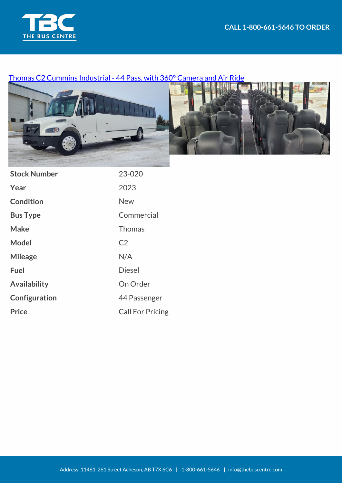

## [Thomas C2 Cummins Industrial - 44 Pass. with 360° Camera and Air Ride](https://thebuscentre.com/buses/23-020-thomas-c2-cummins-industrial-bus/)



| <b>Stock Number</b> | 23-020                  |
|---------------------|-------------------------|
| Year                | 2023                    |
| <b>Condition</b>    | <b>New</b>              |
| <b>Bus Type</b>     | Commercial              |
| Make                | <b>Thomas</b>           |
| <b>Model</b>        | C <sub>2</sub>          |
| <b>Mileage</b>      | N/A                     |
| <b>Fuel</b>         | <b>Diesel</b>           |
| <b>Availability</b> | On Order                |
| Configuration       | 44 Passenger            |
| <b>Price</b>        | <b>Call For Pricing</b> |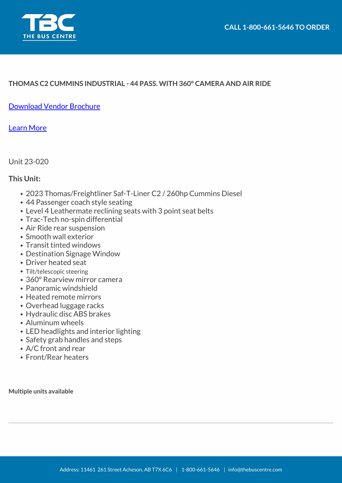

## **THOMAS C2 CUMMINS INDUSTRIAL - 44 PASS. WITH 360° CAMERA AND AIR RIDE**

[Download Vendor Brochure](https://thebuscentre.com/wp-content/uploads/Brochures/Thomas/specsheet-c2-transit-liner.pdf)

[Learn More](https://thomasbuiltbuses.com/more-buses/commercial-buses/transit-liner-c2/)

Unit 23-020

## **This Unit:**

- 2023 Thomas/Freightliner Saf-T-Liner C2 / 260hp Cummins Diesel
- 44 Passenger coach style seating
- Level 4 Leathermate reclining seats with 3 point seat belts
- Trac-Tech no-spin differential
- Air Ride rear suspension
- Smooth wall exterior
- Transit tinted windows
- Destination Signage Window
- Driver heated seat
- Tilt/telescopic steering
- 360° Rearview mirror camera
- Panoramic windshield
- Heated remote mirrors
- Overhead luggage racks
- Hydraulic disc ABS brakes
- Aluminum wheels
- LED headlights and interior lighting
- Safety grab handles and steps
- A/C front and rear
- Front/Rear heaters

**Multiple units available**